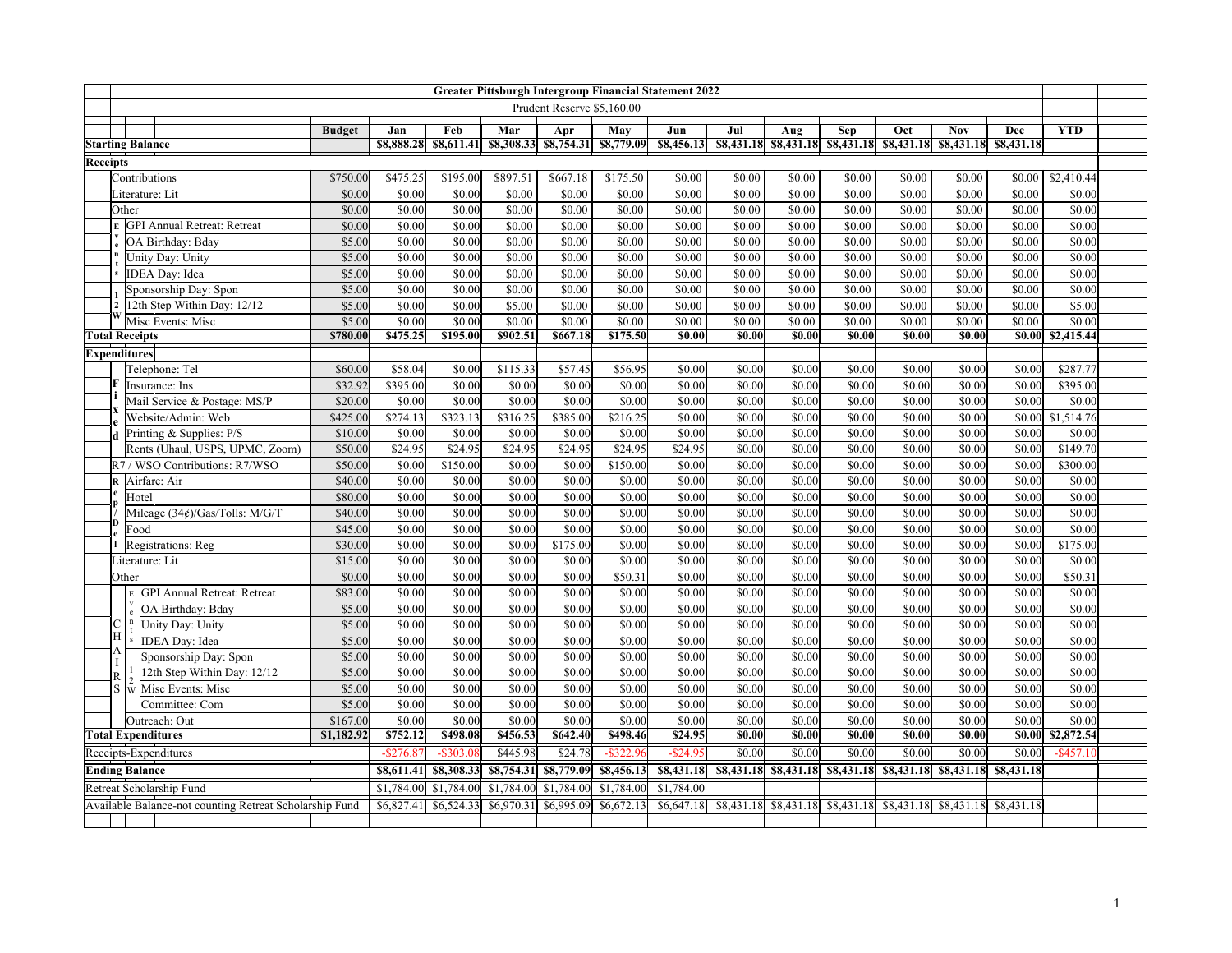|                                                         | <b>Greater Pittsburgh Intergroup Financial Statement 2022</b> |                                                      |                  |                  |                  |                  |                                  |                  |                    |                  |                    |                                                                   |                  |                                  |                  |                  |  |
|---------------------------------------------------------|---------------------------------------------------------------|------------------------------------------------------|------------------|------------------|------------------|------------------|----------------------------------|------------------|--------------------|------------------|--------------------|-------------------------------------------------------------------|------------------|----------------------------------|------------------|------------------|--|
|                                                         |                                                               |                                                      |                  |                  |                  |                  | Prudent Reserve \$5,160.00       |                  |                    |                  |                    |                                                                   |                  |                                  |                  |                  |  |
|                                                         |                                                               |                                                      | <b>Budget</b>    | Jan              | Feb              | Mar              | Apr                              | May              | Jun                | Jul              | Aug                | Sep                                                               | Oct              | <b>Nov</b>                       | Dec              | <b>YTD</b>       |  |
|                                                         |                                                               | <b>Starting Balance</b>                              |                  | \$8,888.28       | 88,611.41        |                  | \$8,308.33 \$8,754.31 \$8,779.09 |                  | \$8,456.13         |                  |                    | \$8,431.18 \$8,431.18 \$8,431.18 \$8,431.18 \$8,431.18 \$8,431.18 |                  |                                  |                  |                  |  |
| Receipts                                                |                                                               |                                                      |                  |                  |                  |                  |                                  |                  |                    |                  |                    |                                                                   |                  |                                  |                  |                  |  |
|                                                         |                                                               | Contributions                                        | \$750.00         | \$475.25         | \$195.00         | \$897.51         | \$667.18                         | \$175.50         | \$0.00             | \$0.00           | \$0.00             | \$0.00                                                            | \$0.00           | \$0.00                           | \$0.00           | \$2,410.44       |  |
|                                                         |                                                               | Literature: Lit                                      | \$0.00           | \$0.00           | \$0.00           | \$0.00           | \$0.00                           | \$0.00           | \$0.00             | \$0.00           | \$0.00             | \$0.00                                                            | \$0.00           | \$0.00                           | \$0.00           | \$0.00           |  |
|                                                         |                                                               | Other                                                | \$0.00           | $\sqrt{$0.00}$   | \$0.00           | \$0.00           | \$0.00                           | \$0.00           | \$0.00             | \$0.00           | \$0.00             | \$0.00                                                            | \$0.00           | \$0.00                           | \$0.00           | $\sqrt{$0.00}$   |  |
|                                                         |                                                               | <b>GPI Annual Retreat: Retreat</b>                   | \$0.00           | $\sqrt{$0.00}$   | \$0.00           | \$0.00           | \$0.00                           | \$0.00           | \$0.00             | \$0.00           | \$0.00             | \$0.00                                                            | \$0.00           | \$0.00                           | \$0.00           | \$0.00           |  |
|                                                         |                                                               | OA Birthday: Bday                                    | \$5.00           | \$0.00           | \$0.00           | \$0.00           | \$0.00                           | \$0.00           | \$0.00             | \$0.00           | \$0.00             | \$0.00                                                            | \$0.00           | \$0.00                           | \$0.00           | \$0.00           |  |
|                                                         | Unity Day: Unity                                              |                                                      | \$5.00           | \$0.00           | \$0.00           | \$0.00           | \$0.00                           | \$0.00           | \$0.00             | \$0.00           | \$0.00             | \$0.00                                                            | \$0.00           | \$0.00                           | \$0.00           | \$0.00           |  |
|                                                         |                                                               | IDEA Day: Idea                                       | \$5.00           | \$0.00           | \$0.00           | \$0.00           | \$0.00                           | \$0.00           | \$0.00             | \$0.00           | \$0.00             | \$0.00                                                            | \$0.00           | $\overline{$}0.00$               | \$0.00           | \$0.00           |  |
|                                                         |                                                               | Sponsorship Day: Spon                                | \$5.00           | \$0.00           | \$0.00           | \$0.00           | \$0.00                           | \$0.00           | \$0.00             | \$0.00           | \$0.00             | \$0.00                                                            | \$0.00           | \$0.00                           | \$0.00           | \$0.00           |  |
| $\overline{2}$                                          |                                                               | 12th Step Within Day: 12/12                          | \$5.00           | \$0.00           | \$0.00           | \$5.00           | \$0.00                           | \$0.00           | \$0.00             | \$0.00           | \$0.00             | \$0.00                                                            | \$0.00           | \$0.00                           | \$0.00           | \$5.00           |  |
|                                                         |                                                               | Misc Events: Misc                                    | \$5.00           | \$0.00           | \$0.00           | \$0.00           | \$0.00                           | \$0.00           | \$0.00             | \$0.00           | \$0.00             | \$0.00                                                            | \$0.00           | \$0.00                           | \$0.00           | \$0.00           |  |
| <b>Total Receipts</b>                                   |                                                               |                                                      | \$780.00         | \$475.25         | \$195.00         | \$902.51         | \$667.18                         | \$175.50         | \$0.00             | \$0.00           | \$0.00             | \$0.00                                                            | \$0.00           | \$0.00                           | \$0.00           | \$2,415.44       |  |
| <b>Expenditures</b>                                     |                                                               |                                                      |                  |                  |                  |                  |                                  |                  |                    |                  |                    |                                                                   |                  |                                  |                  |                  |  |
|                                                         |                                                               | Telephone: Tel                                       | \$60.00          | \$58.04          | \$0.00           | \$115.33         | \$57.45                          | \$56.95          | \$0.00             | \$0.00           | \$0.00             | \$0.00                                                            | \$0.00           | \$0.00                           | \$0.00           | \$287.77         |  |
|                                                         |                                                               | Insurance: Ins                                       | \$32.92          | \$395.00         | \$0.00           | \$0.00           | \$0.00                           | \$0.00           | \$0.00             | \$0.00           | \$0.00             | \$0.00                                                            | \$0.00           | \$0.00                           | \$0.00           | \$395.00         |  |
|                                                         |                                                               | Mail Service & Postage: MS/P                         | \$20.00          | \$0.00           | \$0.00           | \$0.00           | \$0.00                           | \$0.00           | \$0.00             | \$0.00           | \$0.00             | \$0.00                                                            | \$0.00           | \$0.00                           | \$0.00           | \$0.00           |  |
|                                                         |                                                               | Website/Admin: Web                                   | \$425.00         | \$274.13         | \$323.13         | \$316.25         | \$385.00                         | \$216.25         | \$0.00             | \$0.00           | \$0.00             | \$0.00                                                            | \$0.00           | \$0.00                           | \$0.00           | \$1,514.76       |  |
|                                                         |                                                               | Printing & Supplies: P/S                             | \$10.00          | \$0.00           | \$0.00           | \$0.00           | \$0.00                           | \$0.00           | \$0.00             | \$0.00           | \$0.00             | \$0.00                                                            | \$0.00           | \$0.00                           | \$0.00           | \$0.00           |  |
|                                                         |                                                               | Rents (Uhaul, USPS, UPMC, Zoom)                      | \$50.00          | \$24.95          | \$24.95          | \$24.95          | \$24.95                          | \$24.95          | \$24.95            | \$0.00           | \$0.00             | \$0.00                                                            | \$0.00           | \$0.00                           | \$0.00           | \$149.70         |  |
|                                                         |                                                               | R7/WSO Contributions: R7/WSO                         | \$50.00          | \$0.00           | \$150.00         | \$0.00           | \$0.00                           | \$150.00         | \$0.00             | \$0.00           | \$0.00             | \$0.00                                                            | \$0.00           | \$0.00                           | \$0.00           | \$300.00         |  |
|                                                         |                                                               | R Airfare: Air                                       | \$40.00          | \$0.00           | \$0.00           | \$0.00           | \$0.00                           | \$0.00           | \$0.00             | \$0.00           | \$0.00             | \$0.00                                                            | \$0.00           | \$0.00                           | \$0.00           | \$0.00           |  |
|                                                         |                                                               | Hotel                                                | \$80.00          | \$0.00           | \$0.00           | \$0.00           | \$0.00                           | \$0.00           | \$0.00             | \$0.00           | \$0.00             | \$0.00                                                            | \$0.00           | \$0.00                           | \$0.00           | $\sqrt{$0.00}$   |  |
|                                                         |                                                               | Mileage (34¢)/Gas/Tolls: M/G/T                       | \$40.00          | \$0.00           | \$0.00           | \$0.00           | \$0.00                           | \$0.00           | \$0.00             | \$0.00           | \$0.00             | \$0.00                                                            | \$0.00           | \$0.00                           | \$0.00           | \$0.00           |  |
|                                                         |                                                               | Food                                                 | \$45.00          | \$0.00           | \$0.00           | \$0.00           | \$0.00                           | \$0.00           | \$0.00             | \$0.00           | \$0.00             | \$0.00                                                            | \$0.00           | \$0.00                           | \$0.00           | \$0.00           |  |
|                                                         |                                                               | Registrations: Reg                                   | \$30.00          | \$0.00           | \$0.00           | \$0.00           | \$175.00                         | \$0.00           | \$0.00             | \$0.00           | \$0.00             | \$0.00                                                            | \$0.00           | \$0.00                           | \$0.00           | \$175.00         |  |
|                                                         |                                                               | Literature: Lit                                      | \$15.00          | \$0.00           | \$0.00           | \$0.00           | \$0.00                           | \$0.00           | \$0.00             | \$0.00           | \$0.00             | \$0.00                                                            | \$0.00           | \$0.00                           | \$0.00           | \$0.00           |  |
|                                                         | Other                                                         |                                                      | \$0.00           | \$0.00           | \$0.00           | \$0.00           | \$0.00                           | \$50.31          | \$0.00             | \$0.00           | \$0.00             | \$0.00                                                            | \$0.00           | \$0.00                           | \$0.00           | \$50.31          |  |
|                                                         |                                                               | <b>GPI Annual Retreat: Retreat</b>                   | \$83.00          | \$0.00           | \$0.00           | \$0.00           | \$0.00                           | \$0.00           | \$0.00             | \$0.00           | \$0.00             | \$0.00                                                            | \$0.00           | \$0.00                           | \$0.00           | \$0.00           |  |
| C                                                       |                                                               | OA Birthday: Bday                                    | \$5.00<br>\$5.00 | \$0.00<br>\$0.00 | \$0.00           | \$0.00<br>\$0.00 | \$0.00<br>\$0.00                 | \$0.00<br>\$0.00 | \$0.00<br>\$0.00   | \$0.00           | \$0.00<br>\$0.00   | \$0.00<br>\$0.00                                                  | \$0.00<br>\$0.00 | \$0.00<br>\$0.00                 | \$0.00<br>\$0.00 | \$0.00<br>\$0.00 |  |
| lН                                                      |                                                               | Unity Day: Unity<br>IDEA Day: Idea                   | \$5.00           | \$0.00           | \$0.00<br>\$0.00 | \$0.00           | \$0.00                           | \$0.00           | \$0.00             | \$0.00<br>\$0.00 | \$0.00             | \$0.00                                                            | \$0.00           | \$0.00                           | \$0.00           | \$0.00           |  |
| А                                                       |                                                               |                                                      | \$5.00           | \$0.00           | \$0.00           | \$0.00           | \$0.00                           | \$0.00           | \$0.00             | \$0.00           | \$0.00             | \$0.00                                                            | \$0.00           | \$0.00                           | \$0.00           | \$0.00           |  |
| I                                                       |                                                               | Sponsorship Day: Spon<br>12th Step Within Day: 12/12 | \$5.00           | \$0.00           | \$0.00           | \$0.00           | \$0.00                           | \$0.00           | \$0.00             | \$0.00           | \$0.00             | \$0.00                                                            | \$0.00           | \$0.00                           | \$0.00           | \$0.00           |  |
| $\mathbb{R}$<br>S                                       |                                                               | Misc Events: Misc                                    | \$5.00           | $\sqrt{$0.00}$   | \$0.00           | \$0.00           | $\overline{$}0.00$               | \$0.00           | $\overline{$}0.00$ | \$0.00           | $\overline{$}0.00$ | \$0.00                                                            | \$0.00           | \$0.00                           | $\sqrt{$0.00}$   | \$0.00           |  |
|                                                         |                                                               | W<br>Committee: Com                                  | \$5.00           | \$0.00           | \$0.00           | \$0.00           | \$0.00                           | \$0.00           | \$0.00             | \$0.00           | \$0.00             | \$0.00                                                            | \$0.00           | \$0.00                           | \$0.00           | \$0.00           |  |
|                                                         |                                                               | Outreach: Out                                        | \$167.00         | \$0.00           | \$0.00           | \$0.00           | \$0.00                           | \$0.00           | $\frac{1}{0.00}$   | \$0.00           | \$0.00             | \$0.00                                                            | \$0.00           | \$0.00                           | \$0.00           | \$0.00           |  |
|                                                         |                                                               | <b>Total Expenditures</b>                            | \$1,182.92       | \$752.12         | \$498.08         | \$456.53         | \$642.40                         | \$498.46         | \$24.95            | \$0.00           | \$0.00             | \$0.00                                                            | \$0.00           | \$0.00                           | \$0.00           | \$2,872.54       |  |
|                                                         |                                                               | Receipts-Expenditures                                |                  | $-$276.87$       | $-$ \$303.08     | \$445.98         | \$24.78                          | $-$ \$322.96     | $-$ \$24.9         | \$0.00           | \$0.00             | \$0.00                                                            | \$0.00           | \$0.00                           | \$0.00           | $-$ \$457.10     |  |
|                                                         |                                                               |                                                      |                  | \$8,611.41       | \$8,308.33       |                  | \$8,754.31 \$8,779.09            | \$8,456.13       | \$8,431.18         |                  |                    | \$8,431.18 \$8,431.18 \$8,431.18                                  |                  | \$8,431.18 \$8,431.18 \$8,431.18 |                  |                  |  |
|                                                         | <b>Ending Balance</b><br>Retreat Scholarship Fund             |                                                      |                  | \$1,784.00       | \$1,784.00       |                  | $$1,784.00$ $$1,784.00$          | \$1,784.00       | \$1,784.00         |                  |                    |                                                                   |                  |                                  |                  |                  |  |
| Available Balance-not counting Retreat Scholarship Fund |                                                               |                                                      |                  | \$6,827.41       | \$6,524.33       |                  | $$6,970.31$ \$6,995.09           | \$6,672.13       | \$6,647.18         |                  |                    | \$8,431.18 \$8,431.18 \$8,431.18                                  | \$8,431.18       | \$8,431.18 \$8,431.18            |                  |                  |  |
|                                                         |                                                               |                                                      |                  |                  |                  |                  |                                  |                  |                    |                  |                    |                                                                   |                  |                                  |                  |                  |  |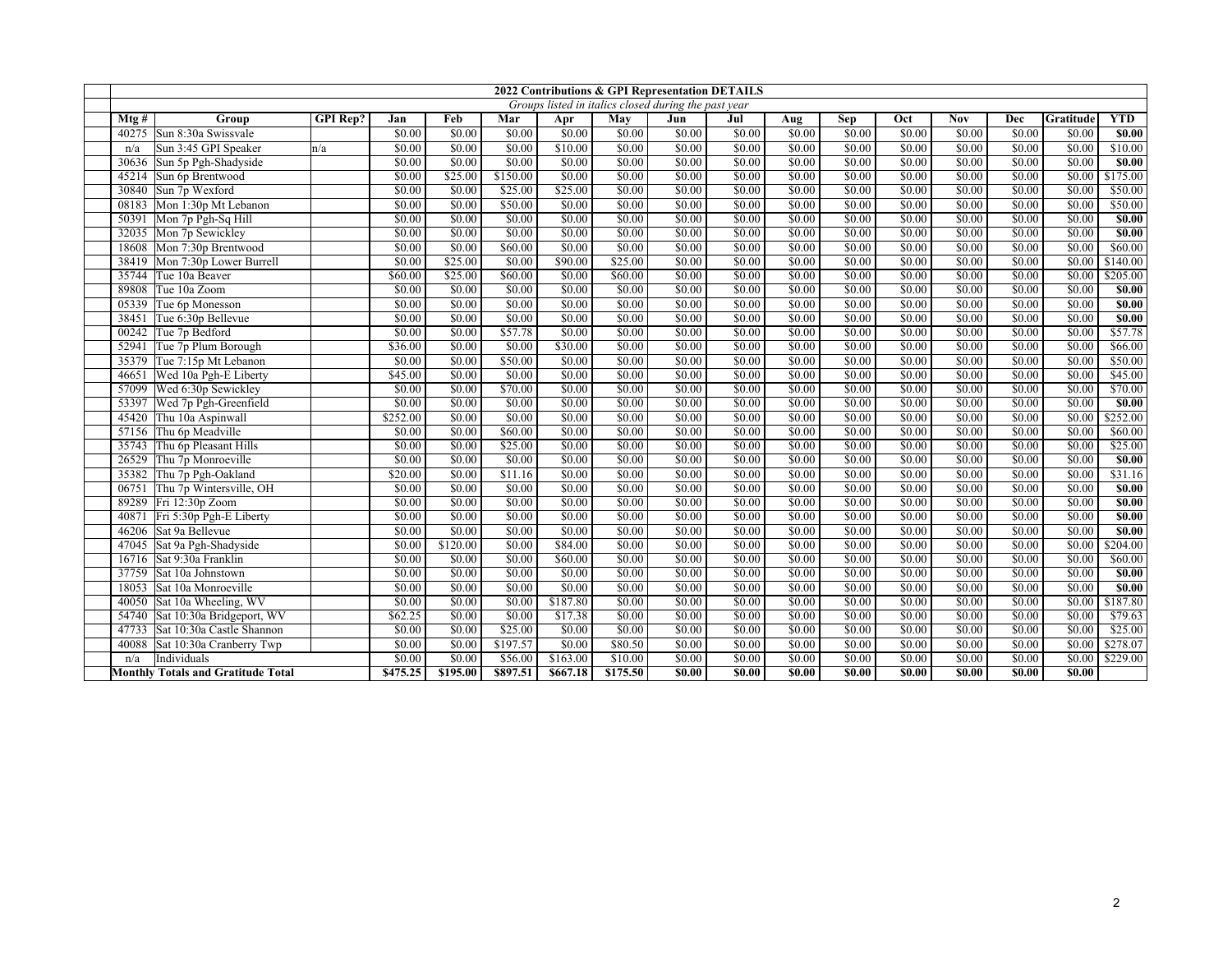|       |                                           |                 |          |          |          |          |          | 2022 Contributions & GPI Representation DETAILS      |                    |                    |                    |                    |                    |                    |           |                     |
|-------|-------------------------------------------|-----------------|----------|----------|----------|----------|----------|------------------------------------------------------|--------------------|--------------------|--------------------|--------------------|--------------------|--------------------|-----------|---------------------|
|       |                                           |                 |          |          |          |          |          | Groups listed in italics closed during the past year |                    |                    |                    |                    |                    |                    |           |                     |
| Mtg#  | Group                                     | <b>GPI</b> Rep? | Jan      | Feb      | Mar      | Apr      | May      | Jun                                                  | Jul                | Aug                | Sep                | Oct                | <b>Nov</b>         | Dec                | Gratitude | <b>YTD</b>          |
|       | 40275 Sun 8:30a Swissvale                 |                 | \$0.00   | \$0.00   | \$0.00   | \$0.00   | \$0.00   | \$0.00                                               | \$0.00             | \$0.00             | \$0.00             | \$0.00             | \$0.00             | \$0.00             | \$0.00    | \$0.00              |
| n/a   | Sun 3:45 GPI Speaker                      | n/a             | \$0.00   | \$0.00   | \$0.00   | \$10.00  | \$0.00   | \$0.00                                               | \$0.00             | \$0.00             | \$0.00             | \$0.00             | \$0.00             | \$0.00             | \$0.00    | \$10.00             |
| 30636 | Sun 5p Pgh-Shadyside                      |                 | \$0.00   | \$0.00   | \$0.00   | \$0.00   | \$0.00   | \$0.00                                               | \$0.00             | \$0.00             | \$0.00             | \$0.00             | \$0.00             | \$0.00             | \$0.00    | $\overline{$}80.00$ |
| 45214 | Sun 6p Brentwood                          |                 | \$0.00   | \$25.00  | \$150.00 | \$0.00   | \$0.00   | $\sqrt{$0.00}$                                       | \$0.00             | \$0.00             | \$0.00             | \$0.00             | \$0.00             | 50.00              | \$0.00    | \$175.00            |
| 30840 | Sun 7p Wexford                            |                 | \$0.00   | \$0.00   | \$25.00  | \$25.00  | \$0.00   | \$0.00                                               | \$0.00             | \$0.00             | \$0.00             | \$0.00             | \$0.00             | \$0.00             | \$0.00    | \$50.00             |
| 08183 | Mon 1:30p Mt Lebanon                      |                 | \$0.00   | \$0.00   | \$50.00  | \$0.00   | \$0.00   | \$0.00                                               | \$0.00             | \$0.00             | \$0.00             | \$0.00             | \$0.00             | \$0.00             | \$0.00    | \$50.00             |
| 50391 | Mon 7p Pgh-Sq Hill                        |                 | \$0.00   | \$0.00   | \$0.00   | \$0.00   | \$0.00   | \$0.00                                               | \$0.00             | \$0.00             | \$0.00             | \$0.00             | \$0.00             | \$0.00             | \$0.00    | $\overline{S0.00}$  |
| 32035 | Mon 7p Sewickley                          |                 | 50.00    | \$0.00   | \$0.00   | \$0.00   | \$0.00   | \$0.00                                               | \$0.00             | \$0.00             | \$0.00             | \$0.00             | \$0.00             | 50.00              | \$0.00    | $\overline{S0.00}$  |
| 18608 | Mon 7:30p Brentwood                       |                 | \$0.00   | \$0.00   | \$60.00  | \$0.00   | \$0.00   | \$0.00                                               | \$0.00             | \$0.00             | \$0.00             | \$0.00             | \$0.00             | \$0.00             | \$0.00    | \$60.00             |
| 38419 | Mon 7:30p Lower Burrell                   |                 | \$0.00   | \$25.00  | \$0.00   | \$90.00  | \$25.00  | \$0.00                                               | \$0.00             | \$0.00             | \$0.00             | \$0.00             | \$0.00             | \$0.00             | \$0.00    | \$140.00            |
| 35744 | Tue 10a Beaver                            |                 | \$60.00  | \$25.00  | \$60.00  | \$0.00   | \$60.00  | \$0.00                                               | \$0.00             | \$0.00             | \$0.00             | \$0.00             | \$0.00             | \$0.00             | \$0.00    | \$205.00            |
| 89808 | Tue 10a Zoom                              |                 | \$0.00   | \$0.00   | \$0.00   | \$0.00   | \$0.00   | \$0.00                                               | \$0.00             | \$0.00             | \$0.00             | \$0.00             | \$0.00             | \$0.00             | \$0.00    | \$0.00              |
| 05339 | Tue 6p Monesson                           |                 | \$0.00   | \$0.00   | \$0.00   | \$0.00   | \$0.00   | 50.00                                                | \$0.00             | \$0.00             | \$0.00             | \$0.00             | \$0.00             | \$0.00             | \$0.00    | $\overline{$}80.00$ |
| 38451 | Tue 6:30p Bellevue                        |                 | \$0.00   | \$0.00   | \$0.00   | \$0.00   | \$0.00   | \$0.00                                               | \$0.00             | \$0.00             | \$0.00             | \$0.00             | \$0.00             | \$0.00             | \$0.00    | $\overline{$0.00}$  |
| 00242 | Tue 7p Bedford                            |                 | \$0.00   | \$0.00   | \$57.78  | \$0.00   | \$0.00   | \$0.00                                               | \$0.00             | \$0.00             | \$0.00             | \$0.00             | \$0.00             | \$0.00             | \$0.00    | \$57.78             |
| 52941 | Tue 7p Plum Borough                       |                 | \$36.00  | \$0.00   | \$0.00   | \$30.00  | \$0.00   | \$0.00                                               | \$0.00             | \$0.00             | \$0.00             | \$0.00             | \$0.00             | \$0.00             | \$0.00    | \$66.00             |
| 35379 | Tue 7:15p Mt Lebanon                      |                 | \$0.00   | \$0.00   | \$50.00  | \$0.00   | \$0.00   | \$0.00                                               | \$0.00             | \$0.00             | \$0.00             | \$0.00             | \$0.00             | \$0.00             | \$0.00    | \$50.00             |
| 46651 | Wed 10a Pgh-E Liberty                     |                 | \$45.00  | \$0.00   | \$0.00   | \$0.00   | \$0.00   | \$0.00                                               | \$0.00             | \$0.00             | \$0.00             | \$0.00             | \$0.00             | \$0.00             | \$0.00    | \$45.00             |
| 57099 | Wed 6:30p Sewickley                       |                 | \$0.00   | \$0.00   | \$70.00  | \$0.00   | \$0.00   | \$0.00                                               | \$0.00             | \$0.00             | \$0.00             | \$0.00             | \$0.00             | \$0.00             | \$0.00    | \$70.00             |
| 53397 | Wed 7p Pgh-Greenfield                     |                 | \$0.00   | \$0.00   | \$0.00   | \$0.00   | \$0.00   | \$0.00                                               | \$0.00             | \$0.00             | \$0.00             | \$0.00             | \$0.00             | \$0.00             | \$0.00    | $\overline{$0.00}$  |
| 45420 | Thu 10a Aspinwall                         |                 | \$252.00 | \$0.00   | \$0.00   | \$0.00   | \$0.00   | \$0.00                                               | \$0.00             | \$0.00             | \$0.00             | \$0.00             | \$0.00             | \$0.00             | \$0.00    | \$252.00            |
| 57156 | Thu 6p Meadville                          |                 | \$0.00   | \$0.00   | \$60.00  | \$0.00   | \$0.00   | \$0.00                                               | \$0.00             | \$0.00             | \$0.00             | \$0.00             | \$0.00             | \$0.00             | \$0.00    | \$60.00             |
| 35743 | Thu 6p Pleasant Hills                     |                 | \$0.00   | \$0.00   | \$25.00  | \$0.00   | \$0.00   | \$0.00                                               | \$0.00             | \$0.00             | \$0.00             | $\sqrt{$0.00}$     | \$0.00             | \$0.00             | \$0.00    | \$25.00             |
| 26529 | Thu 7p Monroeville                        |                 | \$0.00   | \$0.00   | \$0.00   | \$0.00   | \$0.00   | \$0.00                                               | \$0.00             | \$0.00             | \$0.00             | \$0.00             | \$0.00             | \$0.00             | \$0.00    | $\overline{50.00}$  |
| 35382 | Thu 7p Pgh-Oakland                        |                 | \$20.00  | \$0.00   | \$11.16  | \$0.00   | \$0.00   | \$0.00                                               | \$0.00             | \$0.00             | \$0.00             | \$0.00             | \$0.00             | \$0.00             | \$0.00    | \$31.16             |
| 06751 | Thu 7p Wintersville, OH                   |                 | \$0.00   | \$0.00   | \$0.00   | \$0.00   | \$0.00   | \$0.00                                               | \$0.00             | \$0.00             | \$0.00             | \$0.00             | \$0.00             | \$0.00             | \$0.00    | $\overline{$0.00}$  |
|       | 89289 Fri 12:30p Zoom                     |                 | \$0.00   | \$0.00   | \$0.00   | \$0.00   | \$0.00   | \$0.00                                               | \$0.00             | \$0.00             | \$0.00             | \$0.00             | \$0.00             | \$0.00             | \$0.00    | $\overline{50.00}$  |
| 40871 | Fri 5:30p Pgh-E Liberty                   |                 | \$0.00   | \$0.00   | \$0.00   | \$0.00   | \$0.00   | \$0.00                                               | \$0.00             | \$0.00             | \$0.00             | \$0.00             | \$0.00             | \$0.00             | \$0.00    | \$0.00              |
| 46206 | Sat 9a Bellevue                           |                 | \$0.00   | \$0.00   | \$0.00   | \$0.00   | \$0.00   | \$0.00                                               | \$0.00             | \$0.00             | \$0.00             | \$0.00             | \$0.00             | \$0.00             | \$0.00    | \$0.00              |
| 47045 | Sat 9a Pgh-Shadyside                      |                 | \$0.00   | \$120.00 | \$0.00   | \$84.00  | \$0.00   | \$0.00                                               | \$0.00             | \$0.00             | \$0.00             | \$0.00             | \$0.00             | \$0.00             | \$0.00    | \$204.00            |
|       | 16716 Sat 9:30a Franklin                  |                 | \$0.00   | \$0.00   | \$0.00   | \$60.00  | \$0.00   | \$0.00                                               | \$0.00             | \$0.00             | \$0.00             | \$0.00             | \$0.00             | \$0.00             | \$0.00    | \$60.00             |
| 37759 | Sat 10a Johnstown                         |                 | \$0.00   | \$0.00   | \$0.00   | \$0.00   | \$0.00   | \$0.00                                               | \$0.00             | \$0.00             | \$0.00             | \$0.00             | \$0.00             | \$0.00             | \$0.00    | $\overline{$}80.00$ |
| 18053 | Sat 10a Monroeville                       |                 | \$0.00   | \$0.00   | \$0.00   | \$0.00   | \$0.00   | \$0.00                                               | \$0.00             | \$0.00             | \$0.00             | \$0.00             | \$0.00             | $\overline{$0.0}$  | \$0.00    | $\overline{$}80.00$ |
|       | 40050 Sat 10a Wheeling, WV                |                 | \$0.00   | \$0.00   | \$0.00   | \$187.80 | \$0.00   | \$0.00                                               | \$0.00             | \$0.00             | \$0.00             | \$0.00             | \$0.00             | \$0.00             | \$0.00    | \$187.80            |
|       | 54740 Sat 10:30a Bridgeport, WV           |                 | \$62.25  | \$0.00   | \$0.00   | \$17.38  | \$0.00   | \$0.00                                               | \$0.00             | \$0.00             | \$0.00             | \$0.00             | \$0.00             | \$0.00             | \$0.00    | \$79.63             |
| 47733 | Sat 10:30a Castle Shannon                 |                 | \$0.00   | \$0.00   | \$25.00  | \$0.00   | \$0.00   | \$0.00                                               | \$0.00             | \$0.00             | \$0.00             | \$0.00             | \$0.00             | \$0.00             | \$0.00    | \$25.00             |
| 40088 | Sat 10:30a Cranberry Twp                  |                 | \$0.00   | \$0.00   | \$197.57 | \$0.00   | \$80.50  | \$0.00                                               | \$0.00             | \$0.00             | \$0.00             | \$0.00             | \$0.00             | \$0.00             | \$0.00    | \$278.07            |
| n/a   | Individuals                               |                 | \$0.00   | \$0.00   | \$56.00  | \$163.00 | \$10.00  | \$0.00                                               | \$0.00             | \$0.00             | \$0.00             | \$0.00             | \$0.00             | \$0.00             | \$0.00    | \$229.00            |
|       | <b>Monthly Totals and Gratitude Total</b> |                 | \$475.25 | \$195.00 | \$897.51 | \$667.18 | \$175.50 | \$0.00                                               | $\overline{S0.00}$ | $\overline{$0.00}$ | $\overline{$0.00}$ | $\overline{$0.00}$ | $\overline{S0.00}$ | $\overline{$}0.00$ | \$0.00    |                     |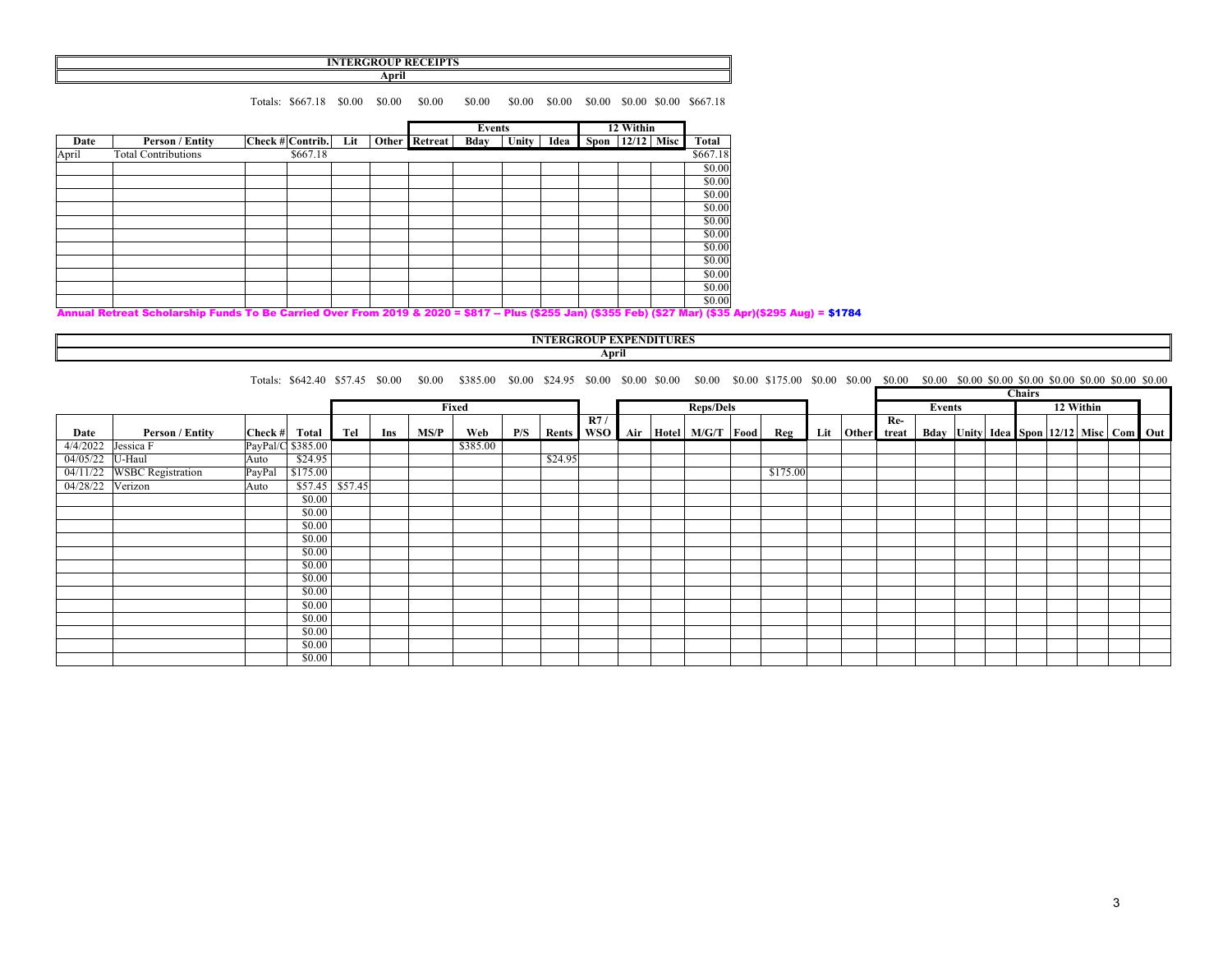### **INTERGROUP RECEIPTS**

**April**

Totals: \$667.18 \$0.00 \$0.00 \$0.00 \$0.00 \$0.00 \$0.00 \$0.00 \$0.00 \$0.00 \$667.18

|       |                                                                                                                                        |                  |          |     |               | Events |       |      | 12 Within             |  |  |          |
|-------|----------------------------------------------------------------------------------------------------------------------------------------|------------------|----------|-----|---------------|--------|-------|------|-----------------------|--|--|----------|
| Date  | Person / Entity                                                                                                                        | Check # Contrib. |          | Lit | Other Retreat | Bday   | Unity | Idea | Spon   $12/12$   Misc |  |  | Total    |
| April | <b>Total Contributions</b>                                                                                                             |                  | \$667.18 |     |               |        |       |      |                       |  |  | \$667.18 |
|       |                                                                                                                                        |                  |          |     |               |        |       |      |                       |  |  | \$0.00   |
|       |                                                                                                                                        |                  |          |     |               |        |       |      |                       |  |  | \$0.00   |
|       |                                                                                                                                        |                  |          |     |               |        |       |      |                       |  |  | \$0.00   |
|       |                                                                                                                                        |                  |          |     |               |        |       |      |                       |  |  | \$0.00   |
|       |                                                                                                                                        |                  |          |     |               |        |       |      |                       |  |  | \$0.00   |
|       |                                                                                                                                        |                  |          |     |               |        |       |      |                       |  |  | \$0.00   |
|       |                                                                                                                                        |                  |          |     |               |        |       |      |                       |  |  | \$0.00   |
|       |                                                                                                                                        |                  |          |     |               |        |       |      |                       |  |  | \$0.00   |
|       |                                                                                                                                        |                  |          |     |               |        |       |      |                       |  |  | \$0.00   |
|       |                                                                                                                                        |                  |          |     |               |        |       |      |                       |  |  | \$0.00   |
|       |                                                                                                                                        |                  |          |     |               |        |       |      |                       |  |  | \$0.00   |
|       | Annual Batront Cabalanchin Eurola Ta Ba Camind Augu Eurol 2040, 8,2000 = 6847 - Blue (6955, Jan) (6255, Sab) (625, Sab)(625, Sab)(620) |                  |          |     |               |        |       |      |                       |  |  |          |

#### Annual Retreat Scholarship Funds To Be Carried Over From 2019 & 2020 = \$817 -- Plus (\$255 Jan) (\$355 Feb) (\$27 Mar) (\$35 Apr)(\$295 Aug) = \$1784

## **INTERGROUP EXPENDITURES**

## **April**

Totals: \$642.40 \$57.45 \$0.00 \$0.00 \$385.00 \$0.00 \$24.95 \$0.00 \$0.00 \$0.00 \$0.00 \$0.00 \$0.00 \$0.00 \$0.00 \$0.00 \$0.00 \$0.00 \$0.00 \$0.00 \$0.00 \$0.00 \$0.00 \$0.00 \$0.00 \$0.00 \$0.00 \$0.00 \$0.00 \$0.00 \$0.00 \$0.00 \$0.00 \$0.00 \$0.0

|                  |                            |                   |           |                   |     |      |          |     |         |  |  |  |           |                                        | <b>Chairs</b> |                     |        |  |  |  |                                                       |  |  |
|------------------|----------------------------|-------------------|-----------|-------------------|-----|------|----------|-----|---------|--|--|--|-----------|----------------------------------------|---------------|---------------------|--------|--|--|--|-------------------------------------------------------|--|--|
|                  |                            |                   |           |                   |     |      | Fixed    |     |         |  |  |  | Reps/Dels |                                        |               |                     | Events |  |  |  | 12 Within                                             |  |  |
|                  |                            |                   |           |                   |     |      |          |     | R7/     |  |  |  |           |                                        | Re-           |                     |        |  |  |  |                                                       |  |  |
| Date             | <b>Person / Entity</b>     | Check #           | Total Tel |                   | Ins | MS/P | Web      | P/S | Rents   |  |  |  |           | WSO   Air   Hotel   M/G/T   Food   Reg |               | Lit   Other   treat |        |  |  |  | Bday   Unity   Idea   Spon   12/12   Misc   Com   Out |  |  |
| 4/4/2022         | Jessica F                  | PayPal/C \$385.00 |           |                   |     |      | \$385.00 |     |         |  |  |  |           |                                        |               |                     |        |  |  |  |                                                       |  |  |
| 04/05/22 U-Haul  |                            | Auto              | \$24.95   |                   |     |      |          |     | \$24.95 |  |  |  |           |                                        |               |                     |        |  |  |  |                                                       |  |  |
|                  | 04/11/22 WSBC Registration | PayPal            | \$175.00  |                   |     |      |          |     |         |  |  |  |           | \$175.00                               |               |                     |        |  |  |  |                                                       |  |  |
| 04/28/22 Verizon |                            | Auto              |           | $$57.45$ $$57.45$ |     |      |          |     |         |  |  |  |           |                                        |               |                     |        |  |  |  |                                                       |  |  |
|                  |                            |                   | \$0.00    |                   |     |      |          |     |         |  |  |  |           |                                        |               |                     |        |  |  |  |                                                       |  |  |
|                  |                            |                   | \$0.00    |                   |     |      |          |     |         |  |  |  |           |                                        |               |                     |        |  |  |  |                                                       |  |  |
|                  |                            |                   | \$0.00    |                   |     |      |          |     |         |  |  |  |           |                                        |               |                     |        |  |  |  |                                                       |  |  |
|                  |                            |                   | \$0.00    |                   |     |      |          |     |         |  |  |  |           |                                        |               |                     |        |  |  |  |                                                       |  |  |
|                  |                            |                   | \$0.00    |                   |     |      |          |     |         |  |  |  |           |                                        |               |                     |        |  |  |  |                                                       |  |  |
|                  |                            |                   | \$0.00    |                   |     |      |          |     |         |  |  |  |           |                                        |               |                     |        |  |  |  |                                                       |  |  |
|                  |                            |                   | \$0.00    |                   |     |      |          |     |         |  |  |  |           |                                        |               |                     |        |  |  |  |                                                       |  |  |
|                  |                            |                   | \$0.00    |                   |     |      |          |     |         |  |  |  |           |                                        |               |                     |        |  |  |  |                                                       |  |  |
|                  |                            |                   | \$0.00    |                   |     |      |          |     |         |  |  |  |           |                                        |               |                     |        |  |  |  |                                                       |  |  |
|                  |                            |                   | \$0.00    |                   |     |      |          |     |         |  |  |  |           |                                        |               |                     |        |  |  |  |                                                       |  |  |
|                  |                            |                   | \$0.00    |                   |     |      |          |     |         |  |  |  |           |                                        |               |                     |        |  |  |  |                                                       |  |  |
|                  |                            |                   | \$0.00    |                   |     |      |          |     |         |  |  |  |           |                                        |               |                     |        |  |  |  |                                                       |  |  |
|                  |                            |                   | \$0.00    |                   |     |      |          |     |         |  |  |  |           |                                        |               |                     |        |  |  |  |                                                       |  |  |